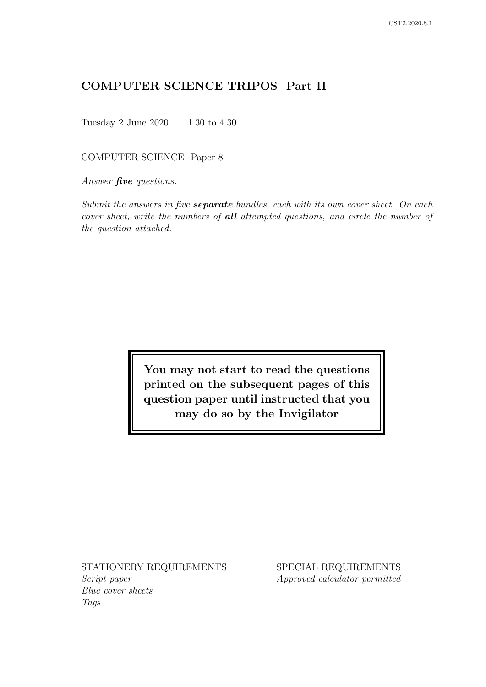# COMPUTER SCIENCE TRIPOS Part II

Tuesday 2 June 2020 1.30 to 4.30

## COMPUTER SCIENCE Paper 8

Answer *five* questions.

Submit the answers in five **separate** bundles, each with its own cover sheet. On each cover sheet, write the numbers of **all** attempted questions, and circle the number of the question attached.

> You may not start to read the questions printed on the subsequent pages of this question paper until instructed that you may do so by the Invigilator

STATIONERY REQUIREMENTS Script paper Blue cover sheets

Tags

SPECIAL REQUIREMENTS Approved calculator permitted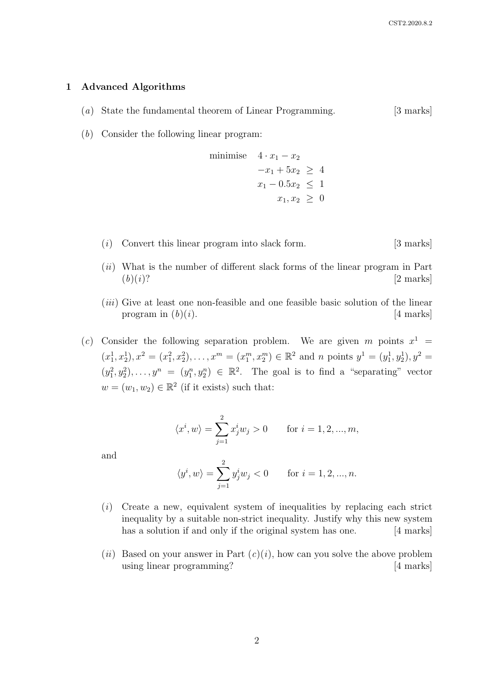#### 1 Advanced Algorithms

- (a) State the fundamental theorem of Linear Programming. [3 marks]
- (b) Consider the following linear program:

minimise 
$$
4 \cdot x_1 - x_2
$$
  
\n $-x_1 + 5x_2 \ge 4$   
\n $x_1 - 0.5x_2 \le 1$   
\n $x_1, x_2 \ge 0$ 

- (i) Convert this linear program into slack form. [3 marks]
- (ii) What is the number of different slack forms of the linear program in Part  $(b)(i)$ ? [2 marks]
- (iii) Give at least one non-feasible and one feasible basic solution of the linear program in  $(b)(i)$ . [4 marks]
- (c) Consider the following separation problem. We are given m points  $x^1$  =  $(x_1^1, x_2^1), x_1^2 = (x_1^2, x_2^2), \ldots, x_m = (x_1^m, x_2^m) \in \mathbb{R}^2$  and n points  $y^1 = (y_1^1, y_2^1), y^2 = (y_1^1, y_2^1)$  $(y_1^2, y_2^2), \ldots, y_n = (y_1^n, y_2^n) \in \mathbb{R}^2$ . The goal is to find a "separating" vector  $w = (w_1, w_2) \in \mathbb{R}^2$  (if it exists) such that:

$$
\langle x^i, w \rangle = \sum_{j=1}^2 x^i_j w_j > 0
$$
 for  $i = 1, 2, ..., m$ ,

and

$$
\langle y^i, w \rangle = \sum_{j=1}^2 y_j^i w_j < 0
$$
 for  $i = 1, 2, ..., n$ .

- $(i)$  Create a new, equivalent system of inequalities by replacing each strict inequality by a suitable non-strict inequality. Justify why this new system has a solution if and only if the original system has one. [4 marks]
- (*ii*) Based on your answer in Part  $(c)(i)$ , how can you solve the above problem using linear programming? [4 marks]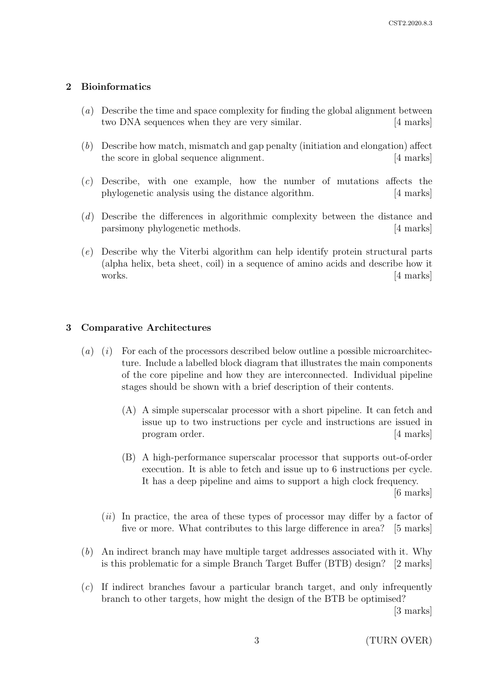# 2 Bioinformatics

- (a) Describe the time and space complexity for finding the global alignment between two DNA sequences when they are very similar. [4 marks]
- (b) Describe how match, mismatch and gap penalty (initiation and elongation) affect the score in global sequence alignment. [4 marks]
- (c) Describe, with one example, how the number of mutations affects the phylogenetic analysis using the distance algorithm. [4 marks]
- (d) Describe the differences in algorithmic complexity between the distance and parsimony phylogenetic methods. [4 marks]
- (e) Describe why the Viterbi algorithm can help identify protein structural parts (alpha helix, beta sheet, coil) in a sequence of amino acids and describe how it works. [4 marks]

# 3 Comparative Architectures

- $(a)$  (i) For each of the processors described below outline a possible microarchitecture. Include a labelled block diagram that illustrates the main components of the core pipeline and how they are interconnected. Individual pipeline stages should be shown with a brief description of their contents.
	- (A) A simple superscalar processor with a short pipeline. It can fetch and issue up to two instructions per cycle and instructions are issued in program order. [4 marks]
	- (B) A high-performance superscalar processor that supports out-of-order execution. It is able to fetch and issue up to 6 instructions per cycle. It has a deep pipeline and aims to support a high clock frequency.

[6 marks]

- $(ii)$  In practice, the area of these types of processor may differ by a factor of five or more. What contributes to this large difference in area? [5 marks]
- (b) An indirect branch may have multiple target addresses associated with it. Why is this problematic for a simple Branch Target Buffer (BTB) design? [2 marks]
- (c) If indirect branches favour a particular branch target, and only infrequently branch to other targets, how might the design of the BTB be optimised?

[3 marks]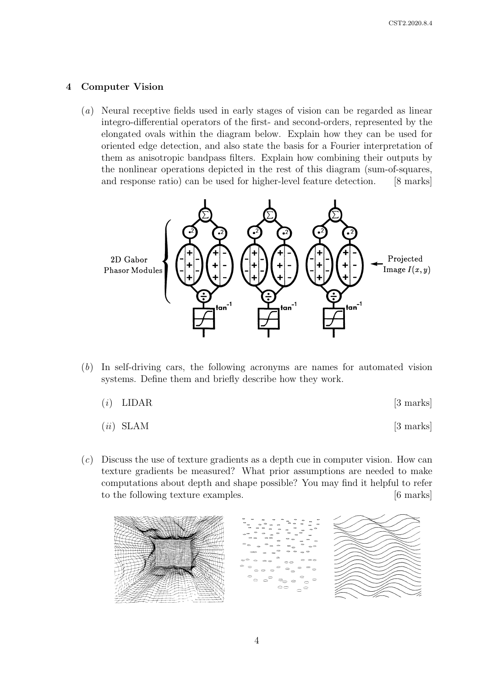# 4 Computer Vision

(a) Neural receptive fields used in early stages of vision can be regarded as linear integro-differential operators of the first- and second-orders, represented by the elongated ovals within the diagram below. Explain how they can be used for oriented edge detection, and also state the basis for a Fourier interpretation of them as anisotropic bandpass filters. Explain how combining their outputs by the nonlinear operations depicted in the rest of this diagram (sum-of-squares, and response ratio) can be used for higher-level feature detection. [8 marks]



- (b) In self-driving cars, the following acronyms are names for automated vision In sen-ariving cars, the ionowing acronyms are names systems. Define them and briefly describe how they work.
	- $(i)$  LIDAR [3 marks]  $\overline{I}$  I IDAD I Texture is both an identifying feature, and a cue to surface shape shape shape shape shape shape shape shape shape shape shape shape shape shape shape shape shape shape shape shape shape shape shape shape shape shape sh
	- $(ii)$  SLAM  $[3 \text{ marks}]$  $SLAM$
- $(c)$  Discuss the use of texture gradients as a depth cue in computer vision. How can texture gradients be measured? What prior assumptions are needed to make computations about depth and shape possible? You may find it helpful to refer<br>to the following testing executive to the following texture examples. [6 marks]

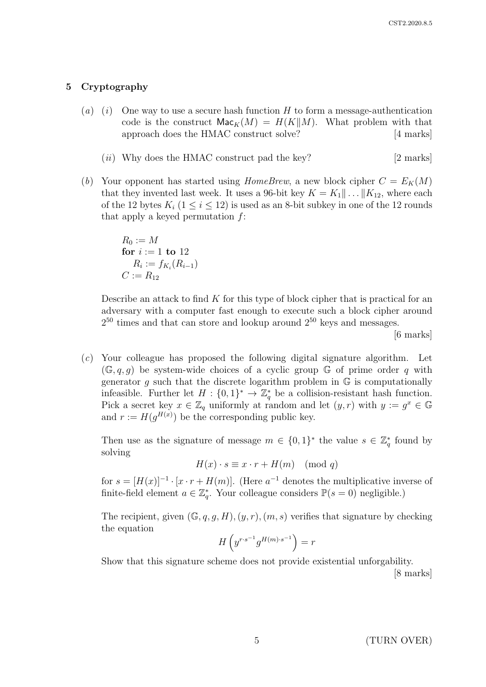# 5 Cryptography

- (a) (i) One way to use a secure hash function H to form a message-authentication code is the construct  $\mathsf{Mac}_K(M) = H(K||M)$ . What problem with that approach does the HMAC construct solve? [4 marks]
	- $(ii)$  Why does the HMAC construct pad the key? [2 marks]
- (b) Your opponent has started using HomeBrew, a new block cipher  $C = E_K(M)$ that they invented last week. It uses a 96-bit key  $K = K_1 || \dots || K_{12}$ , where each of the 12 bytes  $K_i$  ( $1 \leq i \leq 12$ ) is used as an 8-bit subkey in one of the 12 rounds that apply a keyed permutation  $f$ :

 $R_0 := M$ for  $i := 1$  to 12  $R_i := f_{K_i}(R_{i-1})$  $C := R_{12}$ 

Describe an attack to find  $K$  for this type of block cipher that is practical for an adversary with a computer fast enough to execute such a block cipher around  $2^{50}$  times and that can store and lookup around  $2^{50}$  keys and messages.

[6 marks]

(c) Your colleague has proposed the following digital signature algorithm. Let  $(\mathbb{G}, q, q)$  be system-wide choices of a cyclic group  $\mathbb{G}$  of prime order q with generator g such that the discrete logarithm problem in  $\mathbb G$  is computationally infeasible. Further let  $H: \{0,1\}^* \to \mathbb{Z}_q^*$  be a collision-resistant hash function. Pick a secret key  $x \in \mathbb{Z}_q$  uniformly at random and let  $(y, r)$  with  $y := g^x \in \mathbb{G}$ and  $r := H(g^{H(x)})$  be the corresponding public key.

Then use as the signature of message  $m \in \{0,1\}^*$  the value  $s \in \mathbb{Z}_q^*$  found by solving

$$
H(x) \cdot s \equiv x \cdot r + H(m) \pmod{q}
$$

for  $s = [H(x)]^{-1} \cdot [x \cdot r + H(m)]$ . (Here  $a^{-1}$  denotes the multiplicative inverse of finite-field element  $a \in \mathbb{Z}_q^*$ . Your colleague considers  $\mathbb{P}(s = 0)$  negligible.)

The recipient, given  $(\mathbb{G}, q, g, H), (y, r), (m, s)$  verifies that signature by checking the equation

$$
H\left(y^{r\cdot s^{-1}}g^{H(m)\cdot s^{-1}}\right)=r
$$

Show that this signature scheme does not provide existential unforgability.

[8 marks]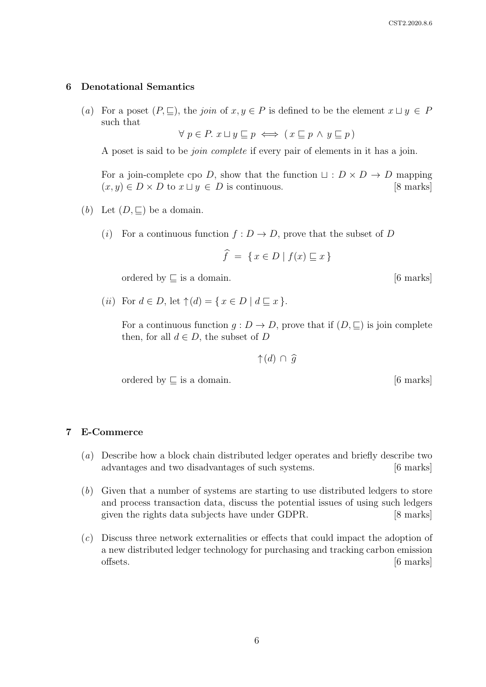#### 6 Denotational Semantics

(a) For a poset  $(P, \subseteq)$ , the join of  $x, y \in P$  is defined to be the element  $x \sqcup y \in P$ such that

 $\forall p \in P$ .  $x \sqcup y \sqsubseteq p \iff (x \sqsubseteq p \land y \sqsubseteq p)$ 

A poset is said to be join complete if every pair of elements in it has a join.

For a join-complete cpo D, show that the function  $\sqcup : D \times D \rightarrow D$  mapping  $(x, y) \in D \times D$  to  $x \sqcup y \in D$  is continuous. [8 marks]

- (b) Let  $(D, \sqsubseteq)$  be a domain.
	- (i) For a continuous function  $f: D \to D$ , prove that the subset of D

$$
\widehat{f} = \{ x \in D \mid f(x) \sqsubseteq x \}
$$

ordered by  $\sqsubseteq$  is a domain. [6 marks]

(*ii*) For  $d \in D$ , let  $\uparrow(d) = \{ x \in D \mid d \sqsubseteq x \}.$ 

For a continuous function  $g: D \to D$ , prove that if  $(D, \sqsubseteq)$  is join complete then, for all  $d \in D$ , the subset of D

↑ $(d)$  ∩  $\widehat{g}$ 

ordered by  $\subseteq$  is a domain. [6 marks]

#### 7 E-Commerce

- (a) Describe how a block chain distributed ledger operates and briefly describe two advantages and two disadvantages of such systems. [6 marks]
- (b) Given that a number of systems are starting to use distributed ledgers to store and process transaction data, discuss the potential issues of using such ledgers given the rights data subjects have under GDPR. [8 marks]
- (c) Discuss three network externalities or effects that could impact the adoption of a new distributed ledger technology for purchasing and tracking carbon emission offsets. [6 marks]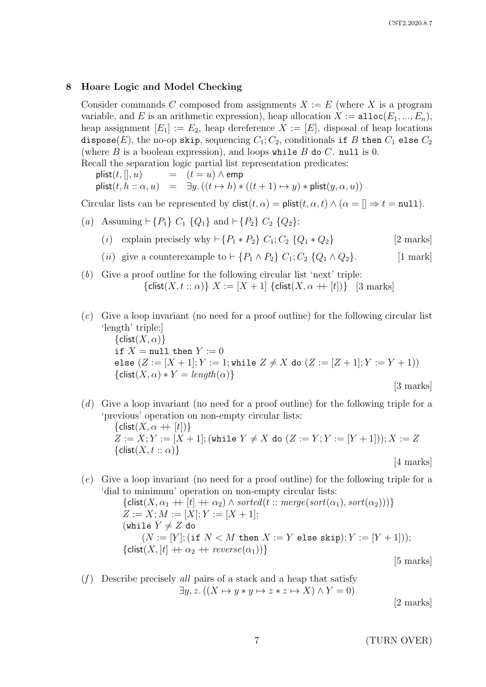## 8 Hoare Logic and Model Checking

Consider commands C composed from assignments  $X := E$  (where X is a program variable, and E is an arithmetic expression), heap allocation  $X := \text{alloc}(E_1, ..., E_n)$ , heap assignment  $[E_1] := E_2$ , heap dereference  $X := [E]$ , disposal of heap locations dispose(E), the no-op skip, sequencing  $C_1$ ;  $C_2$ , conditionals if B then  $C_1$  else  $C_2$ (where  $B$  is a boolean expression), and loops while  $B$  do  $C$ . null is 0. Recall the separation logic partial list representation predicates:

plist(t, [], u)  $=$   $(t = u) \wedge$  emp plist $(t, h :: \alpha, u)$  =  $\exists y \cdot ((t \mapsto h) * ((t + 1) \mapsto y) * \text{plist}(y, \alpha, u))$ 

Circular lists can be represented by  $\text{clist}(t, \alpha) = \text{plist}(t, \alpha, t) \wedge (\alpha = [] \Rightarrow t = \text{null}).$ 

- (a) Assuming  $\vdash \{P_1\}$   $C_1$   $\{Q_1\}$  and  $\vdash \{P_2\}$   $C_2$   $\{Q_2\}$ :
	- (i) explain precisely why  $\vdash \{P_1 * P_2\} C_1; C_2 \{Q_1 * Q_2\}$  [2 marks]
	- (*ii*) give a counterexample to  $\vdash \{P_1 \land P_2\} C_1; C_2 \{Q_1 \land Q_2\}.$  [1 mark]
- (b) Give a proof outline for the following circular list 'next' triple:  ${\{\text{clist}(X, t:: \alpha)\}\; X := [X + 1] \; {\{\text{clist}(X, \alpha + |t|)\}\;}$  [3 marks]
- (c) Give a loop invariant (no need for a proof outline) for the following circular list 'length' triple:]  ${clist}(X, \alpha)$ if  $X = \text{null}$  then  $Y := 0$ else  $(Z := [X + 1]; Y := 1;$  while  $Z \neq X$  do  $(Z := [Z + 1]; Y := Y + 1)$ )  ${\textsf{clist}(X, \alpha) * Y = \text{length}(\alpha)}$

[3 marks]

(d) Give a loop invariant (no need for a proof outline) for the following triple for a 'previous' operation on non-empty circular lists:  $\{\text{clist}(X, \alpha + [t])\}$  $Z := X; Y := [X + 1];$  (while  $Y \neq X$  do  $(Z := Y; Y := [Y + 1])); X := Z$  ${clist}(X, t:: \alpha)$ 

[4 marks]

(e) Give a loop invariant (no need for a proof outline) for the following triple for a 'dial to minimum' operation on non-empty circular lists:

> ${clist}(X, \alpha_1 + [t] + \alpha_2) \wedge sorted(t::merge(sort(\alpha_1), sort(\alpha_2)))\}$  $Z := X; M := [X]; Y := [X + 1];$ (while  $Y \neq Z$  do  $(N := [Y]; (if N < M then X := Y else skip); Y := [Y + 1]);$  ${\text{clist}(X, [t] + \alpha_2 + \text{reverse}(\alpha_1))}$

[5 marks]

(f) Describe precisely all pairs of a stack and a heap that satisfy  $\exists y, z. ((X \mapsto y * y \mapsto z * z \mapsto X) \wedge Y = 0)$ 

[2 marks]

7 (TURN OVER)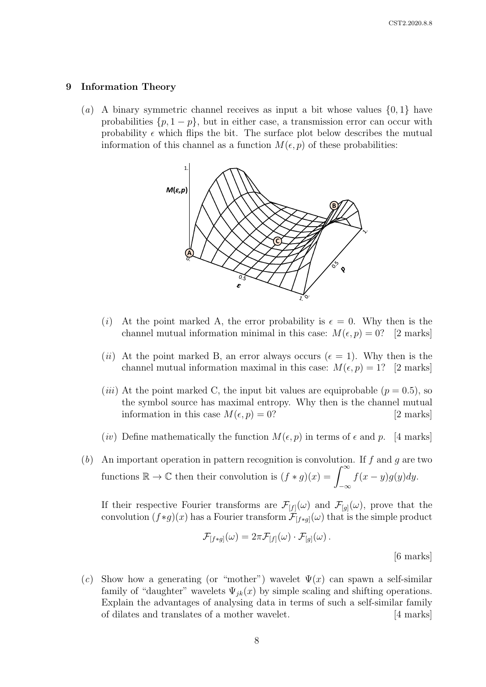#### 9 Information Theory

(a) A binary symmetric channel receives as input a bit whose values  $\{0, 1\}$  have probabilities  $\{p, 1 - p\}$ , but in either case, a transmission error can occur with probability  $\epsilon$  which flips the bit. The surface plot below describes the mutual information of this channel as a function  $M(\epsilon, p)$  of these probabilities:



- (i) At the point marked A, the error probability is  $\epsilon = 0$ . Why then is the channel mutual information minimal in this case:  $M(\epsilon, p) = 0$ ? [2 marks]
- (ii) At the point marked B, an error always occurs ( $\epsilon = 1$ ). Why then is the channel mutual information maximal in this case:  $M(\epsilon, p) = 1$ ? [2 marks]
- (*iii*) At the point marked C, the input bit values are equiprobable ( $p = 0.5$ ), so the symbol source has maximal entropy. Why then is the channel mutual information in this case  $M(\epsilon, p) = 0$ ? [2 marks]
- (iv) Define mathematically the function  $M(\epsilon, p)$  in terms of  $\epsilon$  and p. [4 marks]
- (b) An important operation in pattern recognition is convolution. If  $f$  and  $g$  are two functions  $\mathbb{R} \to \mathbb{C}$  then their convolution is  $(f * g)(x) = \int_{-\infty}^{\infty}$  $-\infty$  $f(x-y)g(y)dy$ .

If their respective Fourier transforms are  $\mathcal{F}_{[f]}(\omega)$  and  $\mathcal{F}_{[g]}(\omega)$ , prove that the convolution  $(f*g)(x)$  has a Fourier transform  $\mathcal{F}_{[f*g]}(\omega)$  that is the simple product

$$
\mathcal{F}_{[f*g]}(\omega) = 2\pi \mathcal{F}_{[f]}(\omega) \cdot \mathcal{F}_{[g]}(\omega).
$$

[6 marks]

(c) Show how a generating (or "mother") wavelet  $\Psi(x)$  can spawn a self-similar family of "daughter" wavelets  $\Psi_{jk}(x)$  by simple scaling and shifting operations. Explain the advantages of analysing data in terms of such a self-similar family of dilates and translates of a mother wavelet. [4 marks]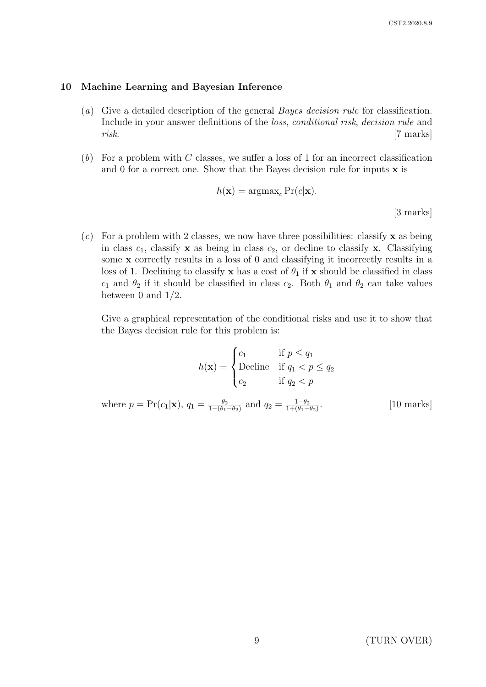## 10 Machine Learning and Bayesian Inference

- (a) Give a detailed description of the general Bayes decision rule for classification. Include in your answer definitions of the loss, conditional risk, decision rule and risk. [7 marks]
- $(b)$  For a problem with C classes, we suffer a loss of 1 for an incorrect classification and 0 for a correct one. Show that the Bayes decision rule for inputs  $x$  is

$$
h(\mathbf{x}) = \operatorname{argmax}_{c} \Pr(c|\mathbf{x}).
$$
\n[3 marks]

(c) For a problem with 2 classes, we now have three possibilities: classify  $\bf{x}$  as being in class  $c_1$ , classify **x** as being in class  $c_2$ , or decline to classify **x**. Classifying some x correctly results in a loss of 0 and classifying it incorrectly results in a loss of 1. Declining to classify x has a cost of  $\theta_1$  if x should be classified in class  $c_1$  and  $\theta_2$  if it should be classified in class  $c_2$ . Both  $\theta_1$  and  $\theta_2$  can take values between 0 and  $1/2$ .

Give a graphical representation of the conditional risks and use it to show that the Bayes decision rule for this problem is:

$$
h(\mathbf{x}) = \begin{cases} c_1 & \text{if } p \le q_1 \\ \text{Decline} & \text{if } q_1 < p \le q_2 \\ c_2 & \text{if } q_2 < p \end{cases}
$$

where  $p = Pr(c_1|\mathbf{x}), q_1 = \frac{\theta_2}{1-(\theta_1)}$  $\frac{\theta_2}{1-(\theta_1-\theta_2)}$  and  $q_2 = \frac{1-\theta_2}{1+(\theta_1-\theta_2)}$  $1+(\theta_1-\theta_2)$ . [10 marks]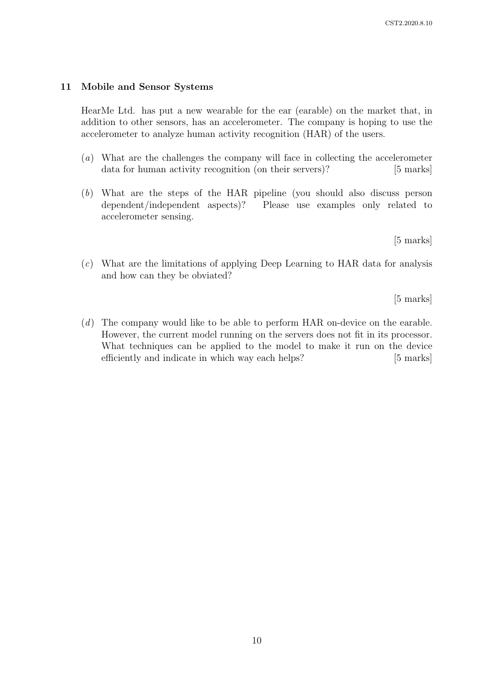# 11 Mobile and Sensor Systems

HearMe Ltd. has put a new wearable for the ear (earable) on the market that, in addition to other sensors, has an accelerometer. The company is hoping to use the accelerometer to analyze human activity recognition (HAR) of the users.

- (a) What are the challenges the company will face in collecting the accelerometer data for human activity recognition (on their servers)? [5 marks]
- (b) What are the steps of the HAR pipeline (you should also discuss person dependent/independent aspects)? Please use examples only related to accelerometer sensing.

[5 marks]

(c) What are the limitations of applying Deep Learning to HAR data for analysis and how can they be obviated?

[5 marks]

(d) The company would like to be able to perform HAR on-device on the earable. However, the current model running on the servers does not fit in its processor. What techniques can be applied to the model to make it run on the device efficiently and indicate in which way each helps? [5 marks]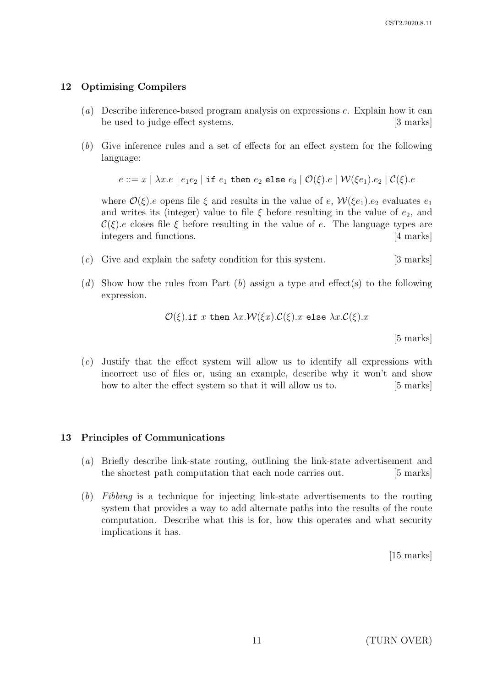## 12 Optimising Compilers

- (a) Describe inference-based program analysis on expressions e. Explain how it can be used to judge effect systems. [3 marks]
- (b) Give inference rules and a set of effects for an effect system for the following language:

 $e ::= x \mid \lambda x.e \mid e_1e_2 \mid \text{if } e_1 \text{ then } e_2 \text{ else } e_3 \mid \mathcal{O}(\xi).e \mid \mathcal{W}(\xi e_1).e_2 \mid \mathcal{C}(\xi).e$ 

where  $\mathcal{O}(\xi)$ .e opens file  $\xi$  and results in the value of e,  $\mathcal{W}(\xi e_1)$ .e<sub>2</sub> evaluates  $e_1$ and writes its (integer) value to file  $\xi$  before resulting in the value of  $e_2$ , and  $\mathcal{C}(\xi)$ .e closes file  $\xi$  before resulting in the value of e. The language types are integers and functions. [4 marks]

- $(c)$  Give and explain the safety condition for this system. [3 marks]
- (d) Show how the rules from Part (b) assign a type and effect (s) to the following expression.

$$
\mathcal{O}(\xi).\text{if } x \text{ then } \lambda x.\mathcal{W}(\xi x).\mathcal{C}(\xi).x \text{ else } \lambda x.\mathcal{C}(\xi).x
$$

[5 marks]

(e) Justify that the effect system will allow us to identify all expressions with incorrect use of files or, using an example, describe why it won't and show how to alter the effect system so that it will allow us to. [5 marks]

#### 13 Principles of Communications

- (a) Briefly describe link-state routing, outlining the link-state advertisement and the shortest path computation that each node carries out. [5 marks]
- (b) Fibbing is a technique for injecting link-state advertisements to the routing system that provides a way to add alternate paths into the results of the route computation. Describe what this is for, how this operates and what security implications it has.

[15 marks]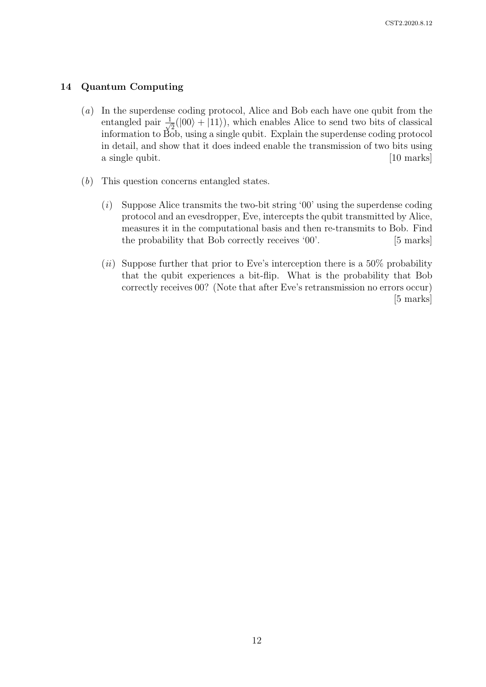## 14 Quantum Computing

- (a) In the superdense coding protocol, Alice and Bob each have one qubit from the entangled pair  $\frac{1}{\sqrt{2}}$  $\frac{1}{2}(|00\rangle + |11\rangle)$ , which enables Alice to send two bits of classical information to  $\tilde{B}$ <sub>2</sub><sub>6</sub>b, using a single qubit. Explain the superdense coding protocol in detail, and show that it does indeed enable the transmission of two bits using a single qubit. [10 marks]
- (b) This question concerns entangled states.
	- (i) Suppose Alice transmits the two-bit string '00' using the superdense coding protocol and an evesdropper, Eve, intercepts the qubit transmitted by Alice, measures it in the computational basis and then re-transmits to Bob. Find the probability that Bob correctly receives '00'. [5 marks]
	- (*ii*) Suppose further that prior to Eve's interception there is a  $50\%$  probability that the qubit experiences a bit-flip. What is the probability that Bob correctly receives 00? (Note that after Eve's retransmission no errors occur) [5 marks]